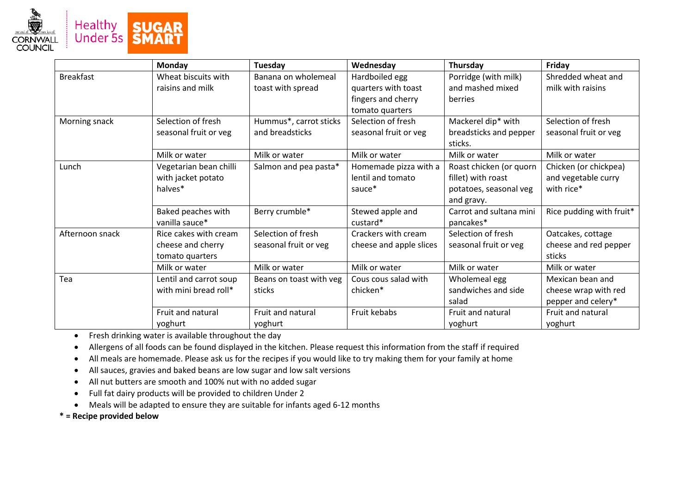

|                  | <b>Monday</b>          | Tuesday                 | Wednesday               | Thursday                 | Friday                   |
|------------------|------------------------|-------------------------|-------------------------|--------------------------|--------------------------|
| <b>Breakfast</b> | Wheat biscuits with    | Banana on wholemeal     | Hardboiled egg          | Porridge (with milk)     | Shredded wheat and       |
|                  | raisins and milk       | toast with spread       | quarters with toast     | and mashed mixed         | milk with raisins        |
|                  |                        |                         | fingers and cherry      | berries                  |                          |
|                  |                        |                         | tomato quarters         |                          |                          |
| Morning snack    | Selection of fresh     | Hummus*, carrot sticks  | Selection of fresh      | Mackerel dip* with       | Selection of fresh       |
|                  | seasonal fruit or veg  | and breadsticks         | seasonal fruit or veg   | breadsticks and pepper   | seasonal fruit or veg    |
|                  |                        |                         |                         | sticks.                  |                          |
|                  | Milk or water          | Milk or water           | Milk or water           | Milk or water            | Milk or water            |
| Lunch            | Vegetarian bean chilli | Salmon and pea pasta*   | Homemade pizza with a   | Roast chicken (or quorn  | Chicken (or chickpea)    |
|                  | with jacket potato     |                         | lentil and tomato       | fillet) with roast       | and vegetable curry      |
|                  | halves*                |                         | sauce*                  | potatoes, seasonal veg   | with rice*               |
|                  |                        |                         |                         | and gravy.               |                          |
|                  | Baked peaches with     | Berry crumble*          | Stewed apple and        | Carrot and sultana mini  | Rice pudding with fruit* |
|                  | vanilla sauce*         |                         | custard*                | pancakes*                |                          |
| Afternoon snack  | Rice cakes with cream  | Selection of fresh      | Crackers with cream     | Selection of fresh       | Oatcakes, cottage        |
|                  | cheese and cherry      | seasonal fruit or veg   | cheese and apple slices | seasonal fruit or veg    | cheese and red pepper    |
|                  | tomato quarters        |                         |                         |                          | sticks                   |
|                  | Milk or water          | Milk or water           | Milk or water           | Milk or water            | Milk or water            |
| Tea              | Lentil and carrot soup | Beans on toast with veg | Cous cous salad with    | Wholemeal egg            | Mexican bean and         |
|                  | with mini bread roll*  | sticks                  | chicken*                | sandwiches and side      | cheese wrap with red     |
|                  |                        |                         |                         | salad                    | pepper and celery*       |
|                  | Fruit and natural      | Fruit and natural       | Fruit kebabs            | <b>Fruit and natural</b> | Fruit and natural        |
|                  | yoghurt                | yoghurt                 |                         | yoghurt                  | yoghurt                  |

Fresh drinking water is available throughout the day

Allergens of all foods can be found displayed in the kitchen. Please request this information from the staff if required

All meals are homemade. Please ask us for the recipes if you would like to try making them for your family at home

All sauces, gravies and baked beans are low sugar and low salt versions

- All nut butters are smooth and 100% nut with no added sugar
- Full fat dairy products will be provided to children Under 2
- Meals will be adapted to ensure they are suitable for infants aged 6-12 months

**\* = Recipe provided below**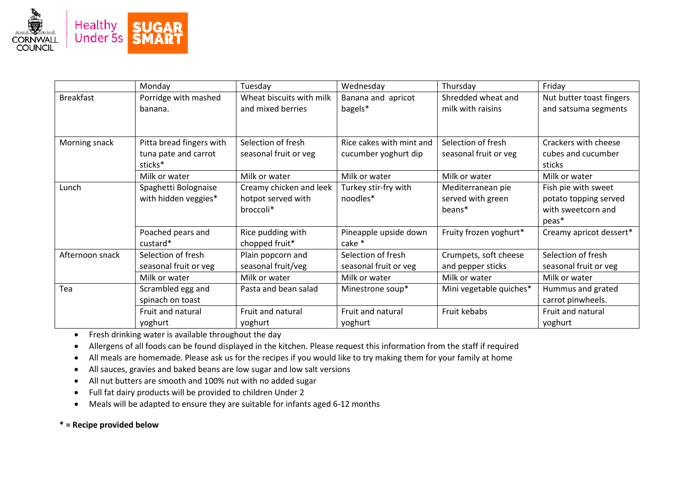

|                  | Monday                                                      | Tuesday                                                    | Wednesday                                        | Thursday                                         | Friday                                                                      |
|------------------|-------------------------------------------------------------|------------------------------------------------------------|--------------------------------------------------|--------------------------------------------------|-----------------------------------------------------------------------------|
| <b>Breakfast</b> | Porridge with mashed<br>banana.                             | Wheat biscuits with milk<br>and mixed berries              | Banana and apricot<br>bagels*                    | Shredded wheat and<br>milk with raisins          | Nut butter toast fingers<br>and satsuma segments                            |
| Morning snack    | Pitta bread fingers with<br>tuna pate and carrot<br>sticks* | Selection of fresh<br>seasonal fruit or veg                | Rice cakes with mint and<br>cucumber yoghurt dip | Selection of fresh<br>seasonal fruit or veg      | Crackers with cheese<br>cubes and cucumber<br>sticks                        |
|                  | Milk or water                                               | Milk or water                                              | Milk or water                                    | Milk or water                                    | Milk or water                                                               |
| Lunch            | Spaghetti Bolognaise<br>with hidden veggies*                | Creamy chicken and leek<br>hotpot served with<br>broccoli* | Turkey stir-fry with<br>noodles*                 | Mediterranean pie<br>served with green<br>beans* | Fish pie with sweet<br>potato topping served<br>with sweetcorn and<br>peas* |
|                  | Poached pears and<br>custard*                               | Rice pudding with<br>chopped fruit*                        | Pineapple upside down<br>cake *                  | Fruity frozen yoghurt*                           | Creamy apricot dessert*                                                     |
| Afternoon snack  | Selection of fresh<br>seasonal fruit or veg                 | Plain popcorn and<br>seasonal fruit/veg                    | Selection of fresh<br>seasonal fruit or veg      | Crumpets, soft cheese<br>and pepper sticks       | Selection of fresh<br>seasonal fruit or veg                                 |
|                  | Milk or water                                               | Milk or water                                              | Milk or water                                    | Milk or water                                    | Milk or water                                                               |
| Tea              | Scrambled egg and<br>spinach on toast                       | Pasta and bean salad                                       | Minestrone soup*                                 | Mini vegetable quiches*                          | Hummus and grated<br>carrot pinwheels.                                      |
|                  | Fruit and natural<br>yoghurt                                | Fruit and natural<br>yoghurt                               | Fruit and natural<br>yoghurt                     | Fruit kebabs                                     | Fruit and natural<br>yoghurt                                                |

Fresh drinking water is available throughout the day

Allergens of all foods can be found displayed in the kitchen. Please request this information from the staff if required

- All meals are homemade. Please ask us for the recipes if you would like to try making them for your family at home
- All sauces, gravies and baked beans are low sugar and low salt versions
- All nut butters are smooth and 100% nut with no added sugar
- Full fat dairy products will be provided to children Under 2
- Meals will be adapted to ensure they are suitable for infants aged 6-12 months

**\* = Recipe provided below**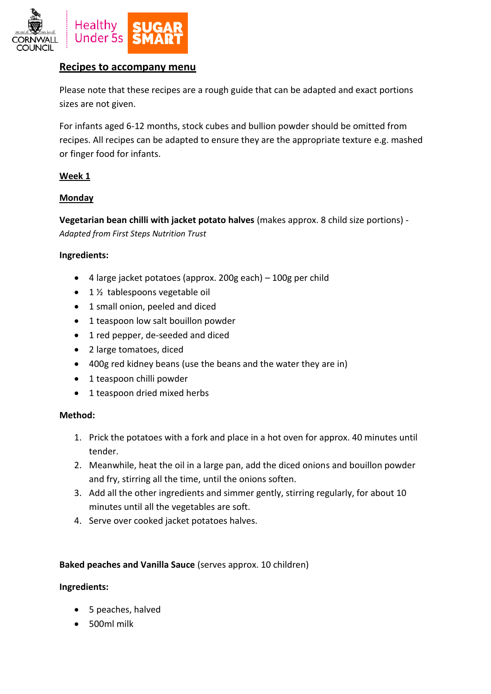

# **Recipes to accompany menu**

Please note that these recipes are a rough guide that can be adapted and exact portions sizes are not given.

For infants aged 6-12 months, stock cubes and bullion powder should be omitted from recipes. All recipes can be adapted to ensure they are the appropriate texture e.g. mashed or finger food for infants.

## **Week 1**

## **Monday**

**Vegetarian bean chilli with jacket potato halves** (makes approx. 8 child size portions) - *Adapted from First Steps Nutrition Trust*

## **Ingredients:**

- $\bullet$  4 large jacket potatoes (approx. 200g each) 100g per child
- $\bullet$  1 % tablespoons vegetable oil
- 1 small onion, peeled and diced
- 1 teaspoon low salt bouillon powder
- 1 red pepper, de-seeded and diced
- 2 large tomatoes, diced
- 400g red kidney beans (use the beans and the water they are in)
- 1 teaspoon chilli powder
- 1 teaspoon dried mixed herbs

## **Method:**

- 1. Prick the potatoes with a fork and place in a hot oven for approx. 40 minutes until tender.
- 2. Meanwhile, heat the oil in a large pan, add the diced onions and bouillon powder and fry, stirring all the time, until the onions soften.
- 3. Add all the other ingredients and simmer gently, stirring regularly, for about 10 minutes until all the vegetables are soft.
- 4. Serve over cooked jacket potatoes halves.

## **Baked peaches and Vanilla Sauce** (serves approx. 10 children)

- 5 peaches, halved
- 500ml milk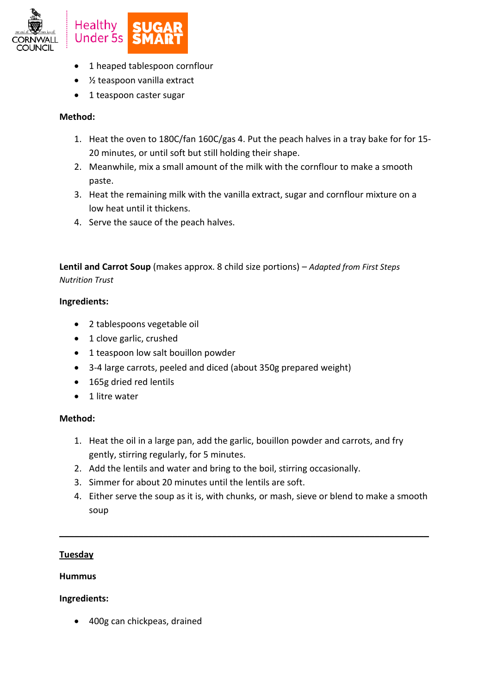

- 1 heaped tablespoon cornflour
- ½ teaspoon vanilla extract
- 1 teaspoon caster sugar

- 1. Heat the oven to 180C/fan 160C/gas 4. Put the peach halves in a tray bake for for 15- 20 minutes, or until soft but still holding their shape.
- 2. Meanwhile, mix a small amount of the milk with the cornflour to make a smooth paste.
- 3. Heat the remaining milk with the vanilla extract, sugar and cornflour mixture on a low heat until it thickens.
- 4. Serve the sauce of the peach halves.

**Lentil and Carrot Soup** (makes approx. 8 child size portions) – *Adapted from First Steps Nutrition Trust*

## **Ingredients:**

- 2 tablespoons vegetable oil
- 1 clove garlic, crushed
- 1 teaspoon low salt bouillon powder
- 3-4 large carrots, peeled and diced (about 350g prepared weight)
- 165g dried red lentils
- 1 litre water

# **Method:**

- 1. Heat the oil in a large pan, add the garlic, bouillon powder and carrots, and fry gently, stirring regularly, for 5 minutes.
- 2. Add the lentils and water and bring to the boil, stirring occasionally.
- 3. Simmer for about 20 minutes until the lentils are soft.
- 4. Either serve the soup as it is, with chunks, or mash, sieve or blend to make a smooth soup

**\_\_\_\_\_\_\_\_\_\_\_\_\_\_\_\_\_\_\_\_\_\_\_\_\_\_\_\_\_\_\_\_\_\_\_\_\_\_\_\_\_\_\_\_\_\_\_\_\_\_\_\_\_\_\_\_\_\_\_\_\_\_\_\_\_\_\_\_\_\_\_\_\_\_\_**

# **Tuesday**

## **Hummus**

# **Ingredients:**

400g can chickpeas, drained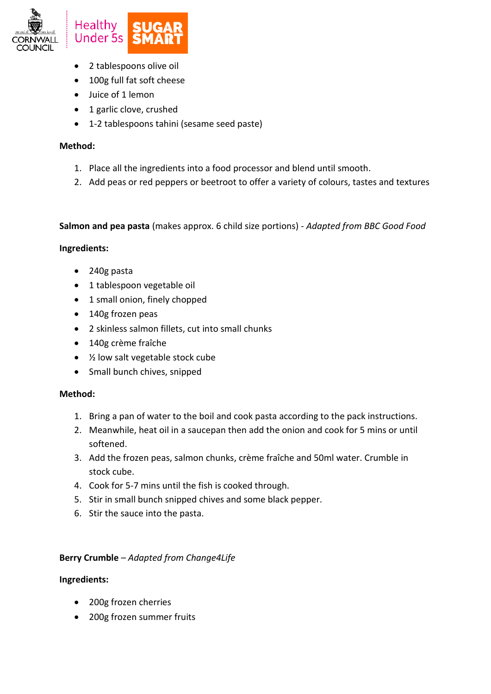

- 2 tablespoons olive oil
- 100g full fat soft cheese
- Juice of 1 lemon
- 1 garlic clove, crushed
- 1-2 tablespoons tahini (sesame seed paste)

- 1. Place all the ingredients into a food processor and blend until smooth.
- 2. Add peas or red peppers or beetroot to offer a variety of colours, tastes and textures

**Salmon and pea pasta** (makes approx. 6 child size portions) - *Adapted from BBC Good Food*

## **Ingredients:**

- 240g pasta
- 1 tablespoon vegetable oil
- 1 small onion, finely chopped
- 140g frozen peas
- 2 skinless salmon fillets, cut into small chunks
- 140g crème fraîche
- ½ low salt vegetable stock cube
- Small bunch chives, snipped

## **Method:**

- 1. Bring a pan of water to the boil and cook pasta according to the pack instructions.
- 2. Meanwhile, heat oil in a saucepan then add the onion and cook for 5 mins or until softened.
- 3. Add the frozen peas, salmon chunks, crème fraîche and 50ml water. Crumble in stock cube.
- 4. Cook for 5-7 mins until the fish is cooked through.
- 5. Stir in small bunch snipped chives and some black pepper.
- 6. Stir the sauce into the pasta.

# **Berry Crumble** – *Adapted from Change4Life*

- 200g frozen cherries
- 200g frozen summer fruits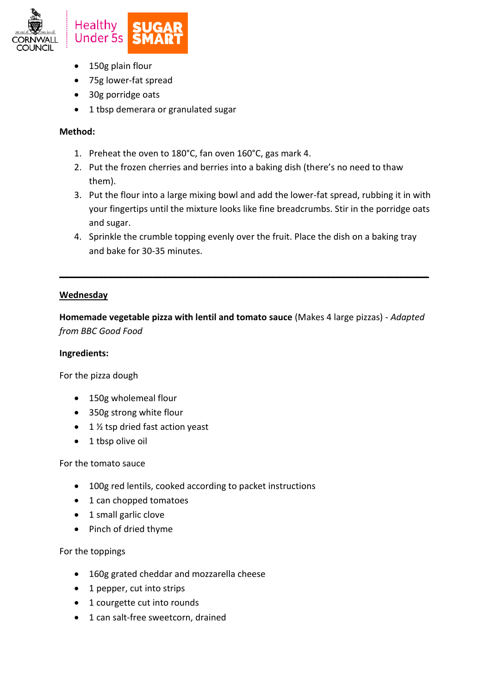

- 150g plain flour
- 75g lower-fat spread
- 30g porridge oats
- 1 tbsp demerara or granulated sugar

- 1. Preheat the oven to 180°C, fan oven 160°C, gas mark 4.
- 2. Put the frozen cherries and berries into a baking dish (there's no need to thaw them).
- 3. Put the flour into a large mixing bowl and add the lower-fat spread, rubbing it in with your fingertips until the mixture looks like fine breadcrumbs. Stir in the porridge oats and sugar.
- 4. Sprinkle the crumble topping evenly over the fruit. Place the dish on a baking tray and bake for 30-35 minutes.

**\_\_\_\_\_\_\_\_\_\_\_\_\_\_\_\_\_\_\_\_\_\_\_\_\_\_\_\_\_\_\_\_\_\_\_\_\_\_\_\_\_\_\_\_\_\_\_\_\_\_\_\_\_\_\_\_\_\_\_\_\_\_\_\_\_\_\_\_\_\_\_\_\_\_\_**

# **Wednesday**

**Homemade vegetable pizza with lentil and tomato sauce** (Makes 4 large pizzas) - *Adapted from BBC Good Food* 

## **Ingredients:**

For the pizza dough

- 150g wholemeal flour
- 350g strong white flour
- $\bullet$  1 % tsp dried fast action yeast
- 1 tbsp olive oil

## For the tomato sauce

- 100g red lentils, cooked according to packet instructions
- 1 can chopped tomatoes
- 1 small garlic clove
- Pinch of dried thyme

For the toppings

- 160g grated cheddar and mozzarella cheese
- 1 pepper, cut into strips
- 1 courgette cut into rounds
- 1 can salt-free sweetcorn, drained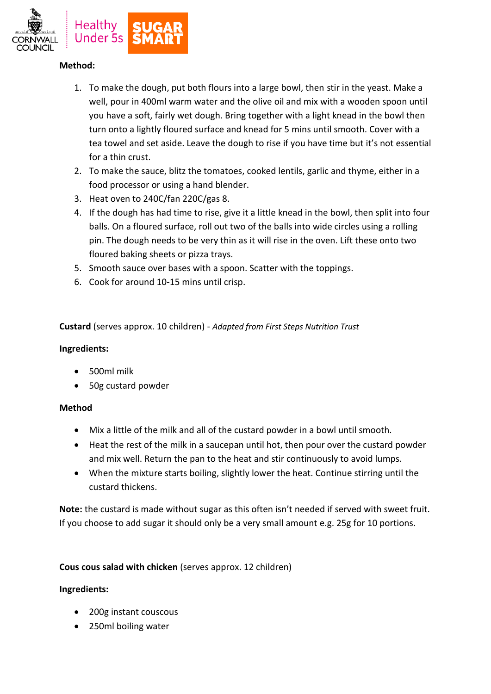

- 1. To make the dough, put both flours into a large bowl, then stir in the yeast. Make a well, pour in 400ml warm water and the olive oil and mix with a wooden spoon until you have a soft, fairly wet dough. Bring together with a light knead in the bowl then turn onto a lightly floured surface and knead for 5 mins until smooth. Cover with a tea towel and set aside. Leave the dough to rise if you have time but it's not essential for a thin crust.
- 2. To make the sauce, blitz the tomatoes, cooked lentils, garlic and thyme, either in a food processor or using a hand blender.
- 3. Heat oven to 240C/fan 220C/gas 8.
- 4. If the dough has had time to rise, give it a little knead in the bowl, then split into four balls. On a floured surface, roll out two of the balls into wide circles using a rolling pin. The dough needs to be very thin as it will rise in the oven. Lift these onto two floured baking sheets or pizza trays.
- 5. Smooth sauce over bases with a spoon. Scatter with the toppings.
- 6. Cook for around 10-15 mins until crisp.

**Custard** (serves approx. 10 children) - *Adapted from First Steps Nutrition Trust*

## **Ingredients:**

- 500ml milk
- 50g custard powder

# **Method**

- Mix a little of the milk and all of the custard powder in a bowl until smooth.
- Heat the rest of the milk in a saucepan until hot, then pour over the custard powder and mix well. Return the pan to the heat and stir continuously to avoid lumps.
- When the mixture starts boiling, slightly lower the heat. Continue stirring until the custard thickens.

**Note:** the custard is made without sugar as this often isn't needed if served with sweet fruit. If you choose to add sugar it should only be a very small amount e.g. 25g for 10 portions.

# **Cous cous salad with chicken** (serves approx. 12 children)

- 200g instant couscous
- 250ml boiling water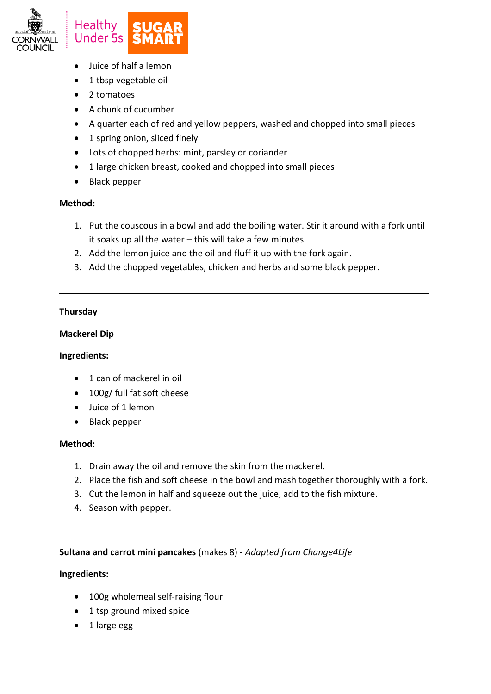

- Juice of half a lemon
- 1 tbsp vegetable oil
- 2 tomatoes
- A chunk of cucumber
- A quarter each of red and yellow peppers, washed and chopped into small pieces
- 1 spring onion, sliced finely
- Lots of chopped herbs: mint, parsley or coriander
- 1 large chicken breast, cooked and chopped into small pieces
- Black pepper

1. Put the couscous in a bowl and add the boiling water. Stir it around with a fork until it soaks up all the water – this will take a few minutes.

**\_\_\_\_\_\_\_\_\_\_\_\_\_\_\_\_\_\_\_\_\_\_\_\_\_\_\_\_\_\_\_\_\_\_\_\_\_\_\_\_\_\_\_\_\_\_\_\_\_\_\_\_\_\_\_\_\_\_\_\_\_\_\_\_\_\_\_\_\_\_\_\_\_\_\_**

- 2. Add the lemon juice and the oil and fluff it up with the fork again.
- 3. Add the chopped vegetables, chicken and herbs and some black pepper.

# **Thursday**

## **Mackerel Dip**

## **Ingredients:**

- 1 can of mackerel in oil
- 100g/ full fat soft cheese
- Juice of 1 lemon
- Black pepper

## **Method:**

- 1. Drain away the oil and remove the skin from the mackerel.
- 2. Place the fish and soft cheese in the bowl and mash together thoroughly with a fork.
- 3. Cut the lemon in half and squeeze out the juice, add to the fish mixture.
- 4. Season with pepper.

# **Sultana and carrot mini pancakes** (makes 8) - *Adapted from Change4Life*

- 100g wholemeal self-raising flour
- 1 tsp ground mixed spice
- 1 large egg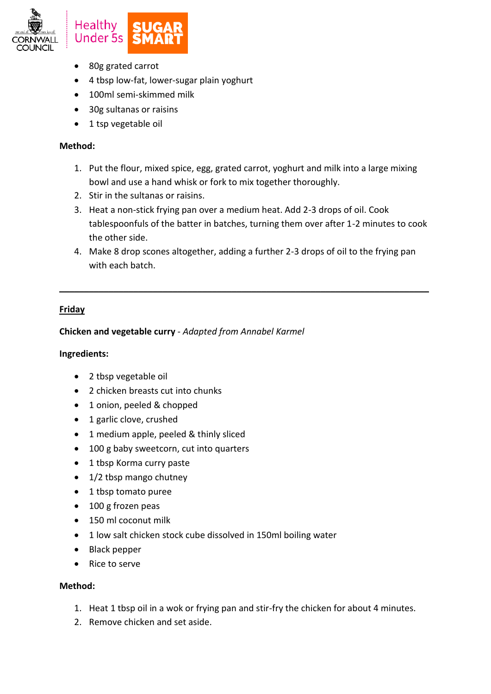

- 80g grated carrot
- 4 tbsp low-fat, lower-sugar plain yoghurt
- 100ml semi-skimmed milk
- 30g sultanas or raisins
- 1 tsp vegetable oil

- 1. Put the flour, mixed spice, egg, grated carrot, yoghurt and milk into a large mixing bowl and use a hand whisk or fork to mix together thoroughly.
- 2. Stir in the sultanas or raisins.
- 3. Heat a non-stick frying pan over a medium heat. Add 2-3 drops of oil. Cook tablespoonfuls of the batter in batches, turning them over after 1-2 minutes to cook the other side.
- 4. Make 8 drop scones altogether, adding a further 2-3 drops of oil to the frying pan with each batch.

**\_\_\_\_\_\_\_\_\_\_\_\_\_\_\_\_\_\_\_\_\_\_\_\_\_\_\_\_\_\_\_\_\_\_\_\_\_\_\_\_\_\_\_\_\_\_\_\_\_\_\_\_\_\_\_\_\_\_\_\_\_\_\_\_\_\_\_\_\_\_\_\_\_\_\_**

# **Friday**

# **Chicken and vegetable curry** - *Adapted from Annabel Karmel*

## **Ingredients:**

- 2 tbsp vegetable oil
- 2 chicken breasts cut into chunks
- 1 onion, peeled & chopped
- 1 garlic clove, crushed
- 1 medium apple, peeled & thinly sliced
- 100 g baby sweetcorn, cut into quarters
- 1 tbsp Korma curry paste
- 1/2 tbsp mango chutney
- 1 tbsp tomato puree
- 100 g frozen peas
- 150 ml coconut milk
- 1 low salt chicken stock cube dissolved in 150ml boiling water
- Black pepper
- Rice to serve

## **Method:**

- 1. Heat 1 tbsp oil in a wok or frying pan and stir-fry the chicken for about 4 minutes.
- 2. Remove chicken and set aside.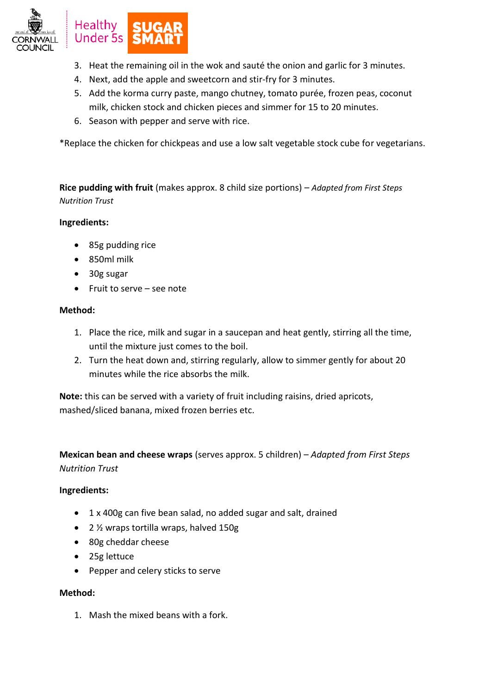

- 3. Heat the remaining oil in the wok and sauté the onion and garlic for 3 minutes.
- 4. Next, add the apple and sweetcorn and stir-fry for 3 minutes.
- 5. Add the korma curry paste, mango chutney, tomato purée, frozen peas, coconut milk, chicken stock and chicken pieces and simmer for 15 to 20 minutes.
- 6. Season with pepper and serve with rice.

\*Replace the chicken for chickpeas and use a low salt vegetable stock cube for vegetarians.

**Rice pudding with fruit** (makes approx. 8 child size portions) – *Adapted from First Steps Nutrition Trust*

## **Ingredients:**

- 85g pudding rice
- 850ml milk
- 30g sugar
- Fruit to serve see note

## **Method:**

- 1. Place the rice, milk and sugar in a saucepan and heat gently, stirring all the time, until the mixture just comes to the boil.
- 2. Turn the heat down and, stirring regularly, allow to simmer gently for about 20 minutes while the rice absorbs the milk.

**Note:** this can be served with a variety of fruit including raisins, dried apricots, mashed/sliced banana, mixed frozen berries etc.

**Mexican bean and cheese wraps** (serves approx. 5 children) – *Adapted from First Steps Nutrition Trust*

## **Ingredients:**

- 1 x 400g can five bean salad, no added sugar and salt, drained
- 2 1/<sub>2</sub> wraps tortilla wraps, halved 150g
- 80g cheddar cheese
- 25g lettuce
- Pepper and celery sticks to serve

## **Method:**

1. Mash the mixed beans with a fork.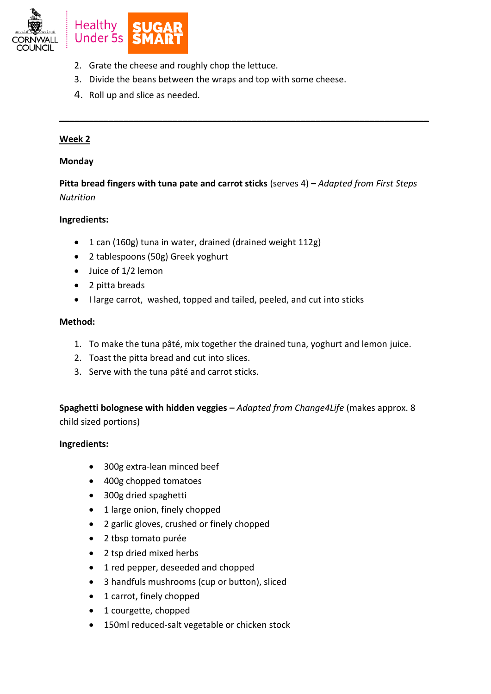

- 2. Grate the cheese and roughly chop the lettuce.
- 3. Divide the beans between the wraps and top with some cheese.
- 4. Roll up and slice as needed.

## **Week 2**

## **Monday**

**Pitta bread fingers with tuna pate and carrot sticks** (serves 4) **–** *Adapted from First Steps Nutrition*

**\_\_\_\_\_\_\_\_\_\_\_\_\_\_\_\_\_\_\_\_\_\_\_\_\_\_\_\_\_\_\_\_\_\_\_\_\_\_\_\_\_\_\_\_\_\_\_\_\_\_\_\_\_\_\_\_\_\_\_\_\_\_\_\_\_\_\_\_\_\_\_\_\_\_\_**

## **Ingredients:**

- 1 can (160g) tuna in water, drained (drained weight 112g)
- 2 tablespoons (50g) Greek yoghurt
- Juice of 1/2 lemon
- 2 pitta breads
- I large carrot, washed, topped and tailed, peeled, and cut into sticks

## **Method:**

- 1. To make the tuna pâté, mix together the drained tuna, yoghurt and lemon juice.
- 2. Toast the pitta bread and cut into slices.
- 3. Serve with the tuna pâté and carrot sticks.

**Spaghetti bolognese with hidden veggies –** *Adapted from Change4Life* (makes approx. 8 child sized portions)

- 300g extra-lean minced beef
- 400g chopped tomatoes
- 300g dried spaghetti
- 1 large onion, finely chopped
- 2 garlic gloves, crushed or finely chopped
- 2 tbsp tomato purée
- 2 tsp dried mixed herbs
- 1 red pepper, deseeded and chopped
- 3 handfuls mushrooms (cup or button), sliced
- 1 carrot, finely chopped
- 1 courgette, chopped
- 150ml reduced-salt vegetable or chicken stock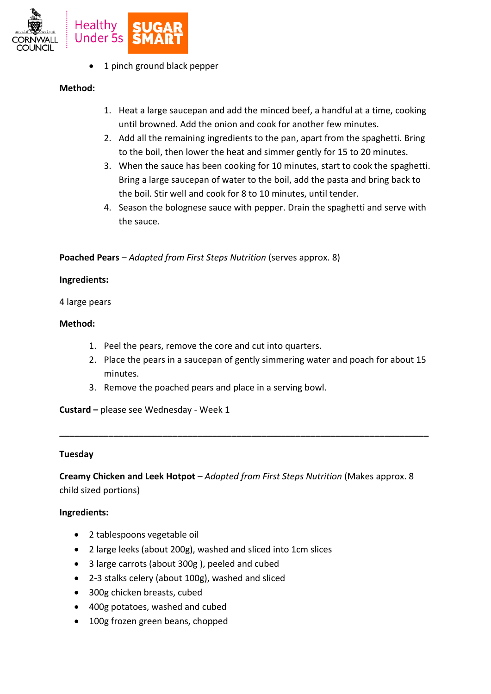

1 pinch ground black pepper

## **Method:**

- 1. Heat a large saucepan and add the minced beef, a handful at a time, cooking until browned. Add the onion and cook for another few minutes.
- 2. Add all the remaining ingredients to the pan, apart from the spaghetti. Bring to the boil, then lower the heat and simmer gently for 15 to 20 minutes.
- 3. When the sauce has been cooking for 10 minutes, start to cook the spaghetti. Bring a large saucepan of water to the boil, add the pasta and bring back to the boil. Stir well and cook for 8 to 10 minutes, until tender.
- 4. Season the bolognese sauce with pepper. Drain the spaghetti and serve with the sauce.

## **Poached Pears** – *Adapted from First Steps Nutrition* (serves approx. 8)

## **Ingredients:**

4 large pears

## **Method:**

- 1. Peel the pears, remove the core and cut into quarters.
- 2. Place the pears in a saucepan of gently simmering water and poach for about 15 minutes.
- 3. Remove the poached pears and place in a serving bowl.

**Custard –** please see Wednesday - Week 1

## **Tuesday**

**Creamy Chicken and Leek Hotpot** – *Adapted from First Steps Nutrition* (Makes approx. 8 child sized portions)

**\_\_\_\_\_\_\_\_\_\_\_\_\_\_\_\_\_\_\_\_\_\_\_\_\_\_\_\_\_\_\_\_\_\_\_\_\_\_\_\_\_\_\_\_\_\_\_\_\_\_\_\_\_\_\_\_\_\_\_\_\_\_\_\_\_\_\_\_\_\_\_\_\_\_\_**

- 2 tablespoons vegetable oil
- 2 large leeks (about 200g), washed and sliced into 1cm slices
- 3 large carrots (about 300g ), peeled and cubed
- 2-3 stalks celery (about 100g), washed and sliced
- 300g chicken breasts, cubed
- 400g potatoes, washed and cubed
- 100g frozen green beans, chopped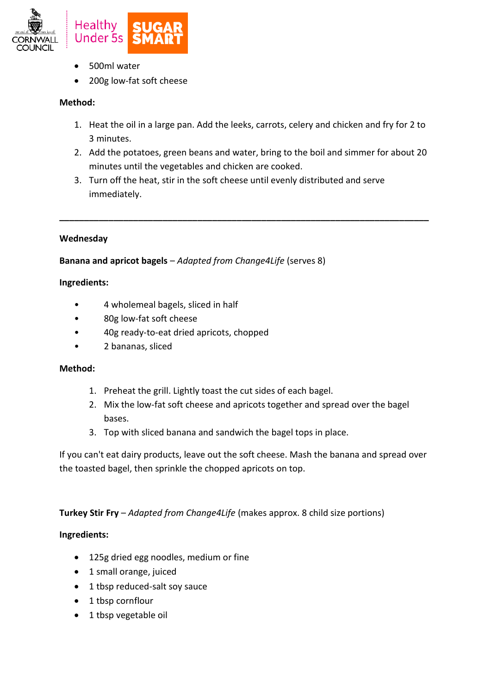

- 500ml water
- 200g low-fat soft cheese

- 1. Heat the oil in a large pan. Add the leeks, carrots, celery and chicken and fry for 2 to 3 minutes.
- 2. Add the potatoes, green beans and water, bring to the boil and simmer for about 20 minutes until the vegetables and chicken are cooked.

**\_\_\_\_\_\_\_\_\_\_\_\_\_\_\_\_\_\_\_\_\_\_\_\_\_\_\_\_\_\_\_\_\_\_\_\_\_\_\_\_\_\_\_\_\_\_\_\_\_\_\_\_\_\_\_\_\_\_\_\_\_\_\_\_\_\_\_\_\_\_\_\_\_\_\_**

3. Turn off the heat, stir in the soft cheese until evenly distributed and serve immediately.

## **Wednesday**

**Banana and apricot bagels** – *Adapted from Change4Life* (serves 8)

## **Ingredients:**

- 4 wholemeal bagels, sliced in half
- 80g low-fat soft cheese
- 40g ready-to-eat dried apricots, chopped
- 2 bananas, sliced

## **Method:**

- 1. Preheat the grill. Lightly toast the cut sides of each bagel.
- 2. Mix the low-fat soft cheese and apricots together and spread over the bagel bases.
- 3. Top with sliced banana and sandwich the bagel tops in place.

If you can't eat dairy products, leave out the soft cheese. Mash the banana and spread over the toasted bagel, then sprinkle the chopped apricots on top.

**Turkey Stir Fry** – *Adapted from Change4Life* (makes approx. 8 child size portions)

- 125g dried egg noodles, medium or fine
- 1 small orange, juiced
- 1 tbsp reduced-salt soy sauce
- 1 tbsp cornflour
- 1 tbsp vegetable oil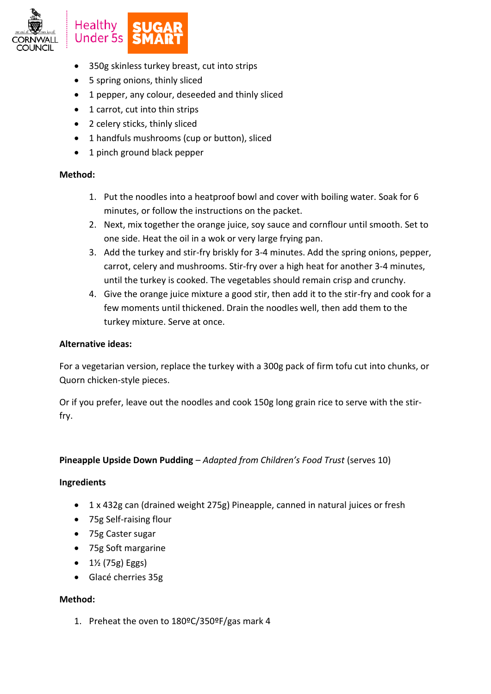

- 350g skinless turkey breast, cut into strips
- 5 spring onions, thinly sliced
- 1 pepper, any colour, deseeded and thinly sliced
- 1 carrot, cut into thin strips
- 2 celery sticks, thinly sliced
- 1 handfuls mushrooms (cup or button), sliced
- 1 pinch ground black pepper

- 1. Put the noodles into a heatproof bowl and cover with boiling water. Soak for 6 minutes, or follow the instructions on the packet.
- 2. Next, mix together the orange juice, soy sauce and cornflour until smooth. Set to one side. Heat the oil in a wok or very large frying pan.
- 3. Add the turkey and stir-fry briskly for 3-4 minutes. Add the spring onions, pepper, carrot, celery and mushrooms. Stir-fry over a high heat for another 3-4 minutes, until the turkey is cooked. The vegetables should remain crisp and crunchy.
- 4. Give the orange juice mixture a good stir, then add it to the stir-fry and cook for a few moments until thickened. Drain the noodles well, then add them to the turkey mixture. Serve at once.

## **Alternative ideas:**

For a vegetarian version, replace the turkey with a 300g pack of firm tofu cut into chunks, or Quorn chicken-style pieces.

Or if you prefer, leave out the noodles and cook 150g long grain rice to serve with the stirfry.

# **Pineapple Upside Down Pudding** – *Adapted from Children's Food Trust* (serves 10)

## **Ingredients**

- 1 x 432g can (drained weight 275g) Pineapple, canned in natural juices or fresh
- 75g Self-raising flour
- 75g Caster sugar
- 75g Soft margarine
- $\bullet$  1½ (75g) Eggs)
- Glacé cherries 35g

# **Method:**

1. Preheat the oven to 180ºC/350ºF/gas mark 4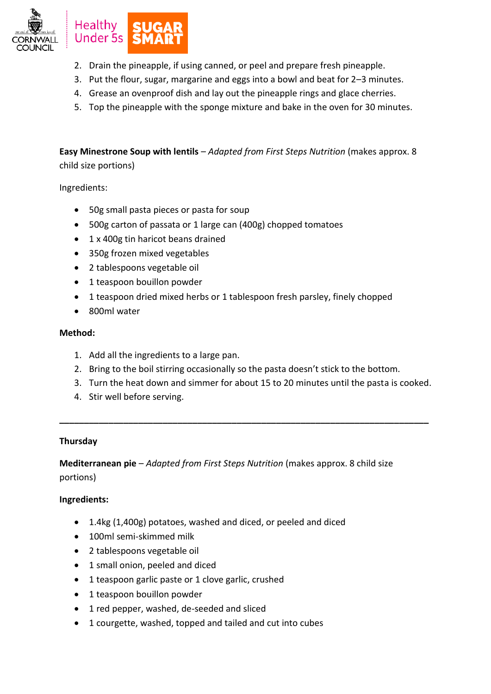

- 2. Drain the pineapple, if using canned, or peel and prepare fresh pineapple.
- 3. Put the flour, sugar, margarine and eggs into a bowl and beat for 2–3 minutes.
- 4. Grease an ovenproof dish and lay out the pineapple rings and glace cherries.
- 5. Top the pineapple with the sponge mixture and bake in the oven for 30 minutes.

**Easy Minestrone Soup with lentils** – *Adapted from First Steps Nutrition* (makes approx. 8 child size portions)

Ingredients:

- 50g small pasta pieces or pasta for soup
- 500g carton of passata or 1 large can (400g) chopped tomatoes
- 1 x 400g tin haricot beans drained
- 350g frozen mixed vegetables
- 2 tablespoons vegetable oil
- 1 teaspoon bouillon powder
- 1 teaspoon dried mixed herbs or 1 tablespoon fresh parsley, finely chopped
- 800ml water

## **Method:**

- 1. Add all the ingredients to a large pan.
- 2. Bring to the boil stirring occasionally so the pasta doesn't stick to the bottom.

**\_\_\_\_\_\_\_\_\_\_\_\_\_\_\_\_\_\_\_\_\_\_\_\_\_\_\_\_\_\_\_\_\_\_\_\_\_\_\_\_\_\_\_\_\_\_\_\_\_\_\_\_\_\_\_\_\_\_\_\_\_\_\_\_\_\_\_\_\_\_\_\_\_\_\_**

- 3. Turn the heat down and simmer for about 15 to 20 minutes until the pasta is cooked.
- 4. Stir well before serving.

# **Thursday**

**Mediterranean pie** – *Adapted from First Steps Nutrition* (makes approx. 8 child size portions)

- 1.4kg (1,400g) potatoes, washed and diced, or peeled and diced
- 100ml semi-skimmed milk
- 2 tablespoons vegetable oil
- 1 small onion, peeled and diced
- 1 teaspoon garlic paste or 1 clove garlic, crushed
- 1 teaspoon bouillon powder
- 1 red pepper, washed, de-seeded and sliced
- 1 courgette, washed, topped and tailed and cut into cubes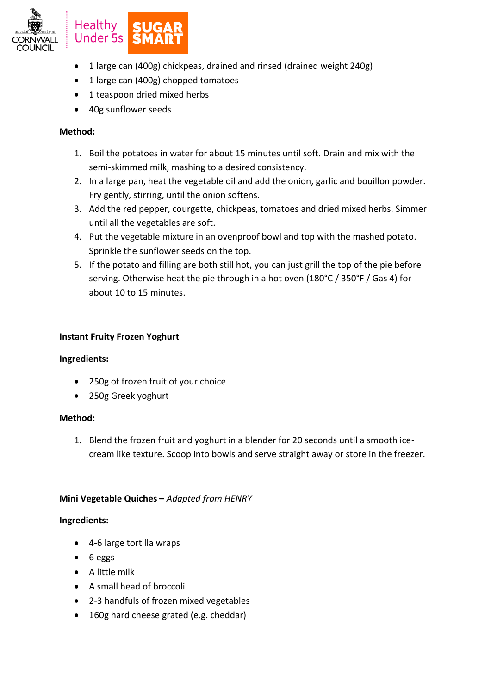

- 1 large can (400g) chickpeas, drained and rinsed (drained weight 240g)
- 1 large can (400g) chopped tomatoes
- 1 teaspoon dried mixed herbs
- 40g sunflower seeds

- 1. Boil the potatoes in water for about 15 minutes until soft. Drain and mix with the semi-skimmed milk, mashing to a desired consistency.
- 2. In a large pan, heat the vegetable oil and add the onion, garlic and bouillon powder. Fry gently, stirring, until the onion softens.
- 3. Add the red pepper, courgette, chickpeas, tomatoes and dried mixed herbs. Simmer until all the vegetables are soft.
- 4. Put the vegetable mixture in an ovenproof bowl and top with the mashed potato. Sprinkle the sunflower seeds on the top.
- 5. If the potato and filling are both still hot, you can just grill the top of the pie before serving. Otherwise heat the pie through in a hot oven (180°C / 350°F / Gas 4) for about 10 to 15 minutes.

## **Instant Fruity Frozen Yoghurt**

## **Ingredients:**

- 250g of frozen fruit of your choice
- 250g Greek yoghurt

## **Method:**

1. Blend the frozen fruit and yoghurt in a blender for 20 seconds until a smooth icecream like texture. Scoop into bowls and serve straight away or store in the freezer.

## **Mini Vegetable Quiches –** *Adapted from HENRY*

- 4-6 large tortilla wraps
- 6 eggs
- A little milk
- A small head of broccoli
- 2-3 handfuls of frozen mixed vegetables
- 160g hard cheese grated (e.g. cheddar)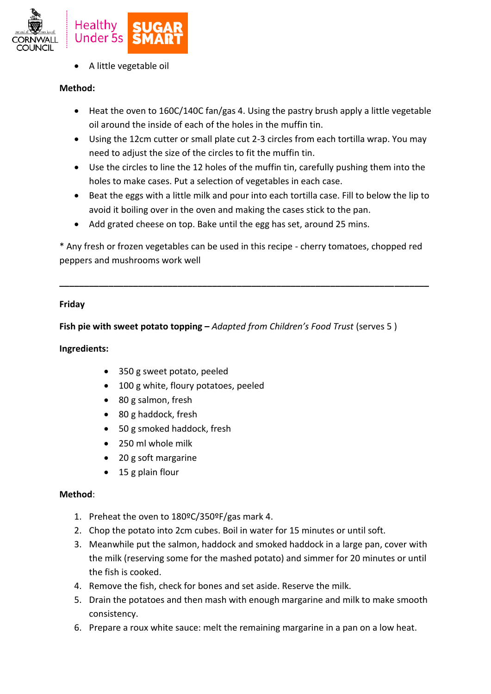

A little vegetable oil

# **Method:**

- Heat the oven to 160C/140C fan/gas 4. Using the pastry brush apply a little vegetable oil around the inside of each of the holes in the muffin tin.
- Using the 12cm cutter or small plate cut 2-3 circles from each tortilla wrap. You may need to adjust the size of the circles to fit the muffin tin.
- Use the circles to line the 12 holes of the muffin tin, carefully pushing them into the holes to make cases. Put a selection of vegetables in each case.
- Beat the eggs with a little milk and pour into each tortilla case. Fill to below the lip to avoid it boiling over in the oven and making the cases stick to the pan.
- Add grated cheese on top. Bake until the egg has set, around 25 mins.

\* Any fresh or frozen vegetables can be used in this recipe - cherry tomatoes, chopped red peppers and mushrooms work well

**\_\_\_\_\_\_\_\_\_\_\_\_\_\_\_\_\_\_\_\_\_\_\_\_\_\_\_\_\_\_\_\_\_\_\_\_\_\_\_\_\_\_\_\_\_\_\_\_\_\_\_\_\_\_\_\_\_\_\_\_\_\_\_\_\_\_\_\_\_\_\_\_\_\_\_**

# **Friday**

**Fish pie with sweet potato topping –** *Adapted from Children's Food Trust* (serves 5 )

# **Ingredients:**

- 350 g sweet potato, peeled
- 100 g white, floury potatoes, peeled
- 80 g salmon, fresh
- 80 g haddock, fresh
- 50 g smoked haddock, fresh
- 250 ml whole milk
- 20 g soft margarine
- 15 g plain flour

# **Method**:

- 1. Preheat the oven to 180ºC/350ºF/gas mark 4.
- 2. Chop the potato into 2cm cubes. Boil in water for 15 minutes or until soft.
- 3. Meanwhile put the salmon, haddock and smoked haddock in a large pan, cover with the milk (reserving some for the mashed potato) and simmer for 20 minutes or until the fish is cooked.
- 4. Remove the fish, check for bones and set aside. Reserve the milk.
- 5. Drain the potatoes and then mash with enough margarine and milk to make smooth consistency.
- 6. Prepare a roux white sauce: melt the remaining margarine in a pan on a low heat.